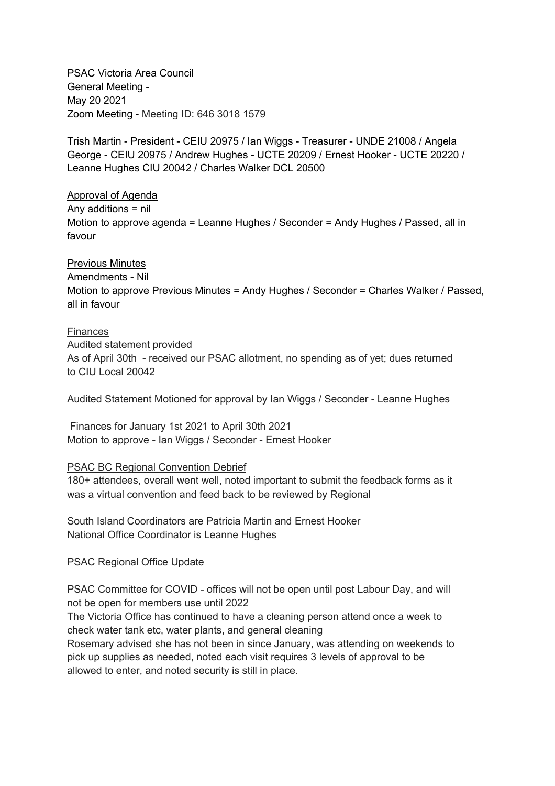PSAC Victoria Area Council General Meeting - May 20 2021 Zoom Meeting - Meeting ID: 646 3018 1579

Trish Martin - President - CEIU 20975 / Ian Wiggs - Treasurer - UNDE 21008 / Angela George - CEIU 20975 / Andrew Hughes - UCTE 20209 / Ernest Hooker - UCTE 20220 / Leanne Hughes CIU 20042 / Charles Walker DCL 20500

Approval of Agenda Any additions = nil Motion to approve agenda = Leanne Hughes / Seconder = Andy Hughes / Passed, all in favour

Previous Minutes Amendments - Nil Motion to approve Previous Minutes = Andy Hughes / Seconder = Charles Walker / Passed, all in favour

Finances Audited statement provided As of April 30th - received our PSAC allotment, no spending as of yet; dues returned to CIU Local 20042

Audited Statement Motioned for approval by Ian Wiggs / Seconder - Leanne Hughes

Finances for January 1st 2021 to April 30th 2021 Motion to approve - Ian Wiggs / Seconder - Ernest Hooker

## PSAC BC Regional Convention Debrief

180+ attendees, overall went well, noted important to submit the feedback forms as it was a virtual convention and feed back to be reviewed by Regional

South Island Coordinators are Patricia Martin and Ernest Hooker National Office Coordinator is Leanne Hughes

## PSAC Regional Office Update

PSAC Committee for COVID - offices will not be open until post Labour Day, and will not be open for members use until 2022

The Victoria Office has continued to have a cleaning person attend once a week to check water tank etc, water plants, and general cleaning

Rosemary advised she has not been in since January, was attending on weekends to pick up supplies as needed, noted each visit requires 3 levels of approval to be allowed to enter, and noted security is still in place.